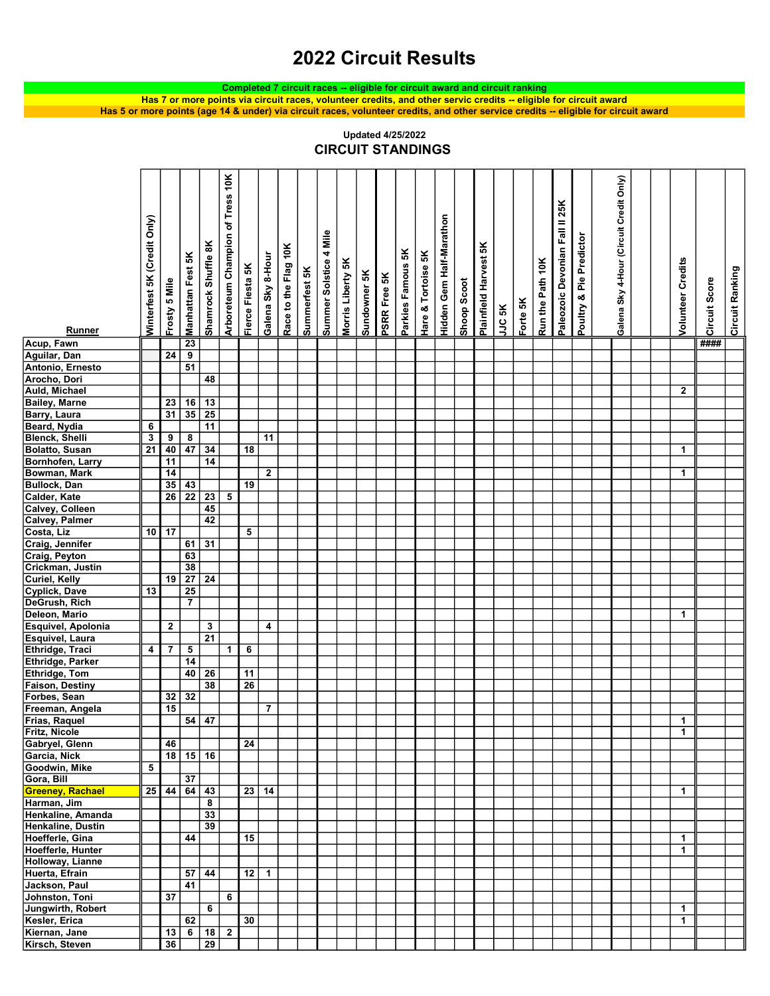## 2022 Circuit Results

Completed 7 circuit races -- eligible for circuit award and circuit ranking

Has 5 or more points (age 14 & under) via circuit races, volunteer credits, and other service credits -- eligible for circuit award Has 7 or more points via circuit races, volunteer credits, and other servic credits -- eligible for circuit award

R<br>Minterfest SK (Credit Only)<br>Manhattan Fest SK<br>Manhattan Fest SK<br>Manmrock Shuffle SK<br>Shamrock Shuffle SK<br>Tierce Flesta SK<br>Summerfest SK<br>Summerfest SK<br>Sincher SK<br>Standom Standard Harvest SK<br>Parkies Famous SK<br>Palmfield Harv Acup, Fawn 23 #### Aguilar, Dan 24 9 Antonio, Ernesto | | | | 51 Arocho, Dori 148 Auld, Michael 2 Bailey, Marne 23 16 13 Barry, Laura 131 35 25 Beard, Nydia | 6 | 11 Blenck, Shelli 3 9 8 11<br>Bolatto, Susan 21 40 47 34 18 Bolatto, Susan 21 40 47 34 18 1 Bornhofen, Larry 11 11 14 Bowman, Mark 14 2 1 Bullock, Dan 35 43 19<br>Calder, Kate 26 22 23 5 Calder, Kate Calvey, Colleen | | | 45 Calvey, Palmer 42<br>Costa, Liz 10 17 Costa, Liz 10 17 5 Craig, Jennifer 1 61 31 Craig, Peyton 63 Crickman, Justin | 38 Curiel, Kelly **19 27 24** Cyplick, Dave 13 25<br>DeGrush, Rich 7 DeGrush, Rich 7 Deleon, Mario 1 Esquivel, Apolonia 2 3 4 Esquivel, Laura<br>Ethridge, Traci 4 7 5 Ethridge, Traci 4 7 5 1 6 Ethridge, Parker 14 **Ethridge, Tom**  40 26 11 **Faison, Destiny | | | | | | | | | | | | 26** Forbes, Sean 32 32 Freeman, Angela 15 15 7 Frias, Raquel 54 47 1 Fritz, Nicole 1 Gabryel, Glenn 46 46 24 Garcia, Nick 18 15 16<br>Goodwin, Mike 5 16 Goodwin, Mike Gora, Bill<br>
Greeney, Rachael 25 44 64 Greeney, Rachael 25 44 64 43 23 14 1 Harman, Jim **8** Henkaline, Amanda | | | | | 33 Henkaline, Dustin<br>Hoefferle, Gina<br>
144 Hoefferle, Gina 44 15 1 Hoefferle, Hunter 1990 and 1990 and 1990 and 1990 and 1990 and 1990 and 1990 and 1990 and 1990 and 1990 and 19 Holloway, Lianne Huerta, Efrain **1988** 12 12 12 |Jackson, Paul | | | | 41 Johnston, Toni | 37 | 6 Jungwirth, Robert | | 6 | 6 | 1<br>Kesler, Erica | 6 | 62 | 1 Kesler, Erica 62 30 1 Kiernan, Jane 13 6 18 2 | Kirsch, Steven | 36 | 29

CIRCUIT STANDINGS Updated 4/25/2022